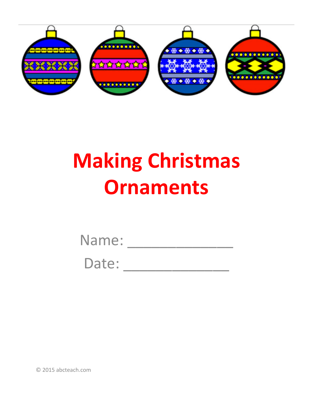

## **Making Christmas Ornaments**

| Name: |  |  |  |  |
|-------|--|--|--|--|
|       |  |  |  |  |

Date:

© 2015 abcteach.com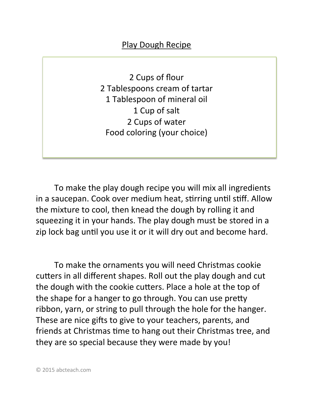## Play Dough Recipe

2 Cups of flour 2 Tablespoons cream of tartar 1 Tablespoon of mineral oil 1 Cup of salt 2 Cups of water Food coloring (your choice)

To make the play dough recipe you will mix all ingredients in a saucepan. Cook over medium heat, stirring until stiff. Allow the mixture to cool, then knead the dough by rolling it and squeezing it in your hands. The play dough must be stored in a zip lock bag until you use it or it will dry out and become hard.

To make the ornaments you will need Christmas cookie cutters in all different shapes. Roll out the play dough and cut the dough with the cookie cutters. Place a hole at the top of the shape for a hanger to go through. You can use pretty ribbon, yarn, or string to pull through the hole for the hanger. These are nice gifts to give to your teachers, parents, and friends at Christmas time to hang out their Christmas tree, and they are so special because they were made by you!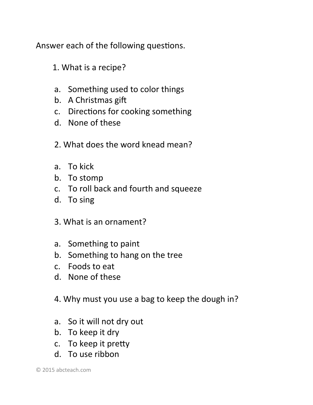Answer each of the following questions.

- 1. What is a recipe?
- a. Something used to color things
- b. A Christmas gift
- c. Directions for cooking something
- d. None of these
- 2. What does the word knead mean?
- a. To kick
- b. To stomp
- c. To roll back and fourth and squeeze
- d. To sing
- 3. What is an ornament?
- a. Something to paint
- b. Something to hang on the tree
- c. Foods to eat
- d. None of these
- 4. Why must you use a bag to keep the dough in?
- a. So it will not dry out
- b. To keep it dry
- c. To keep it pretty
- d. To use ribbon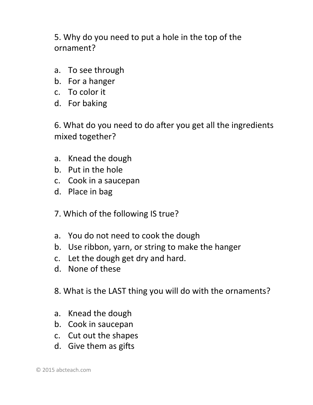5. Why do you need to put a hole in the top of the ornament? 

- a. To see through
- b. For a hanger
- c. To color it
- d. For baking

6. What do you need to do after you get all the ingredients mixed together?

- a. Knead the dough
- b. Put in the hole
- c. Cook in a saucepan
- d. Place in bag
- 7. Which of the following IS true?
- a. You do not need to cook the dough
- b. Use ribbon, yarn, or string to make the hanger
- c. Let the dough get dry and hard.
- d. None of these
- 8. What is the LAST thing you will do with the ornaments?
- a. Knead the dough
- b. Cook in saucepan
- c. Cut out the shapes
- d. Give them as gifts